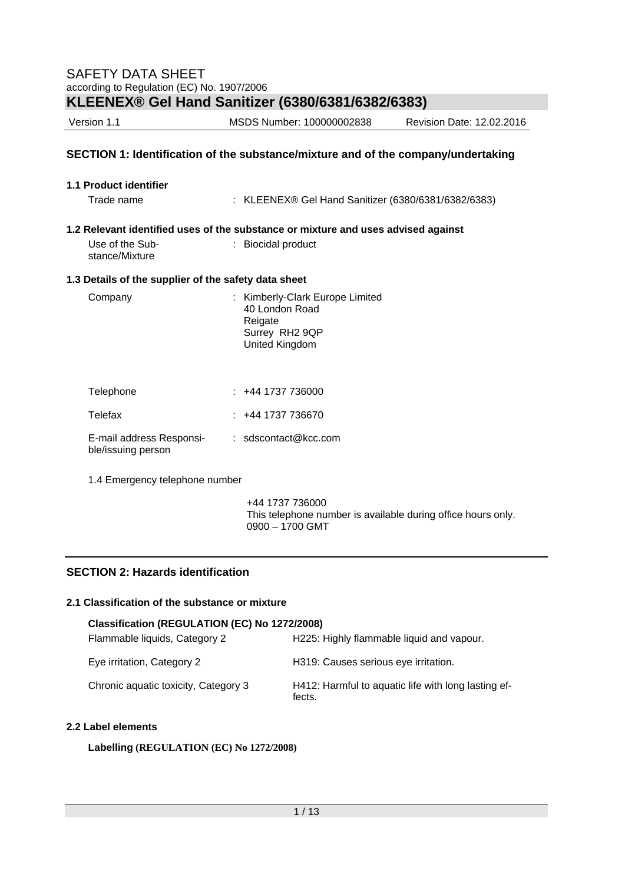| SAFETY DATA SHEET<br>according to Regulation (EC) No. 1907/2006                   |                                                                                                |  |  |  |  |
|-----------------------------------------------------------------------------------|------------------------------------------------------------------------------------------------|--|--|--|--|
|                                                                                   | KLEENEX® Gel Hand Sanitizer (6380/6381/6382/6383)                                              |  |  |  |  |
| Version 1.1<br>MSDS Number: 100000002838<br>Revision Date: 12.02.2016             |                                                                                                |  |  |  |  |
| SECTION 1: Identification of the substance/mixture and of the company/undertaking |                                                                                                |  |  |  |  |
| 1.1 Product identifier<br>Trade name                                              | : KLEENEX® Gel Hand Sanitizer (6380/6381/6382/6383)                                            |  |  |  |  |
|                                                                                   | 1.2 Relevant identified uses of the substance or mixture and uses advised against              |  |  |  |  |
| Use of the Sub-<br>stance/Mixture                                                 | : Biocidal product                                                                             |  |  |  |  |
| 1.3 Details of the supplier of the safety data sheet                              |                                                                                                |  |  |  |  |
| Company                                                                           | Kimberly-Clark Europe Limited<br>40 London Road<br>Reigate<br>Surrey RH2 9QP<br>United Kingdom |  |  |  |  |
| Telephone                                                                         | $: +441737736000$                                                                              |  |  |  |  |
| Telefax                                                                           | $: +441737736670$                                                                              |  |  |  |  |
| E-mail address Responsi-<br>ble/issuing person                                    | $:$ sdscontact@kcc.com                                                                         |  |  |  |  |
| 1.4 Emergency telephone number                                                    |                                                                                                |  |  |  |  |
|                                                                                   | +44 1737 736000                                                                                |  |  |  |  |

## **SECTION 2: Hazards identification**

#### **2.1 Classification of the substance or mixture**

| Classification (REGULATION (EC) No 1272/2008) |                                                               |
|-----------------------------------------------|---------------------------------------------------------------|
| Flammable liquids, Category 2                 | H225: Highly flammable liquid and vapour.                     |
| Eye irritation, Category 2                    | H319: Causes serious eye irritation.                          |
| Chronic aquatic toxicity, Category 3          | H412: Harmful to aquatic life with long lasting ef-<br>fects. |

0900 – 1700 GMT

This telephone number is available during office hours only.

## **2.2 Label elements**

**Labelling (REGULATION (EC) No 1272/2008)**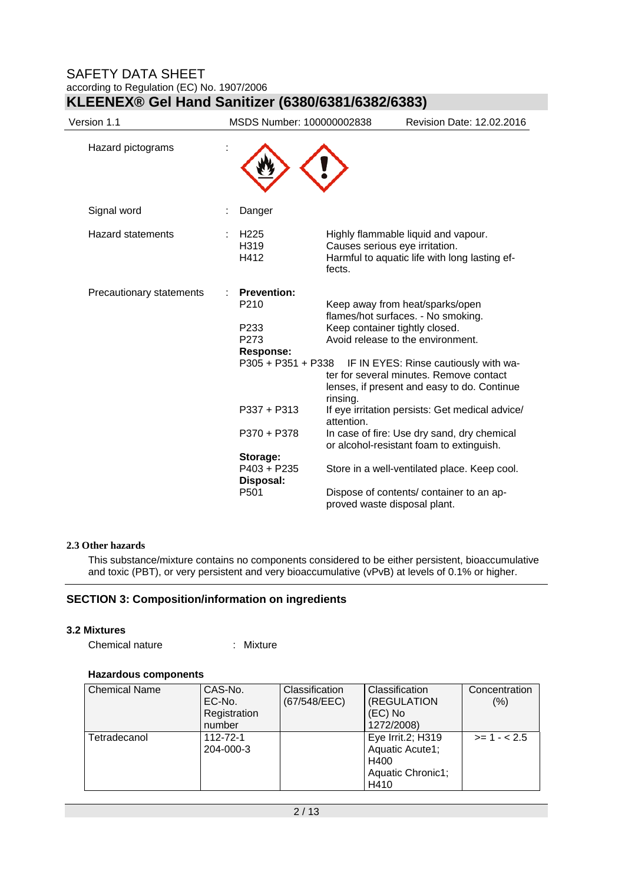## SAFETY DATA SHEET according to Regulation (EC) No. 1907/2006

| Version 1.1              | MSDS Number: 100000002838                                                                        | Revision Date: 12.02.2016                                                                                                                                                                                                                                                                   |
|--------------------------|--------------------------------------------------------------------------------------------------|---------------------------------------------------------------------------------------------------------------------------------------------------------------------------------------------------------------------------------------------------------------------------------------------|
| Hazard pictograms        |                                                                                                  |                                                                                                                                                                                                                                                                                             |
| Signal word              | Danger                                                                                           |                                                                                                                                                                                                                                                                                             |
| <b>Hazard statements</b> | H <sub>225</sub><br>H319<br>H412                                                                 | Highly flammable liquid and vapour.<br>Causes serious eye irritation.<br>Harmful to aquatic life with long lasting ef-<br>fects.                                                                                                                                                            |
| Precautionary statements | <b>Prevention:</b><br>P <sub>210</sub><br>P233<br>P273<br><b>Response:</b><br>P305 + P351 + P338 | Keep away from heat/sparks/open<br>flames/hot surfaces. - No smoking.<br>Keep container tightly closed.<br>Avoid release to the environment.<br>IF IN EYES: Rinse cautiously with wa-<br>ter for several minutes. Remove contact<br>lenses, if present and easy to do. Continue<br>rinsing. |
|                          | P337 + P313<br>P370 + P378                                                                       | If eye irritation persists: Get medical advice/<br>attention.<br>In case of fire: Use dry sand, dry chemical                                                                                                                                                                                |
|                          | Storage:                                                                                         | or alcohol-resistant foam to extinguish.                                                                                                                                                                                                                                                    |
|                          | P403 + P235<br>Disposal:                                                                         | Store in a well-ventilated place. Keep cool.                                                                                                                                                                                                                                                |
|                          | P <sub>501</sub>                                                                                 | Dispose of contents/ container to an ap-<br>proved waste disposal plant.                                                                                                                                                                                                                    |

## **KLEENEX® Gel Hand Sanitizer (6380/6381/6382/6383)**

## **2.3 Other hazards**

This substance/mixture contains no components considered to be either persistent, bioaccumulative and toxic (PBT), or very persistent and very bioaccumulative (vPvB) at levels of 0.1% or higher.

## **SECTION 3: Composition/information on ingredients**

#### **3.2 Mixtures**

Chemical nature : Mixture

## **Hazardous components**

| <b>Chemical Name</b> | CAS-No.<br>EC-No.<br>Registration<br>number | <b>Classification</b><br>(67/548/EEC) | Classification<br>(REGULATION<br>(EC) No<br>1272/2008)                    | Concentration<br>(%) |
|----------------------|---------------------------------------------|---------------------------------------|---------------------------------------------------------------------------|----------------------|
| Tetradecanol         | 112-72-1<br>204-000-3                       |                                       | Eye Irrit.2; H319<br>Aquatic Acute1;<br>H400<br>Aquatic Chronic1;<br>H410 | $>1 - 2.5$           |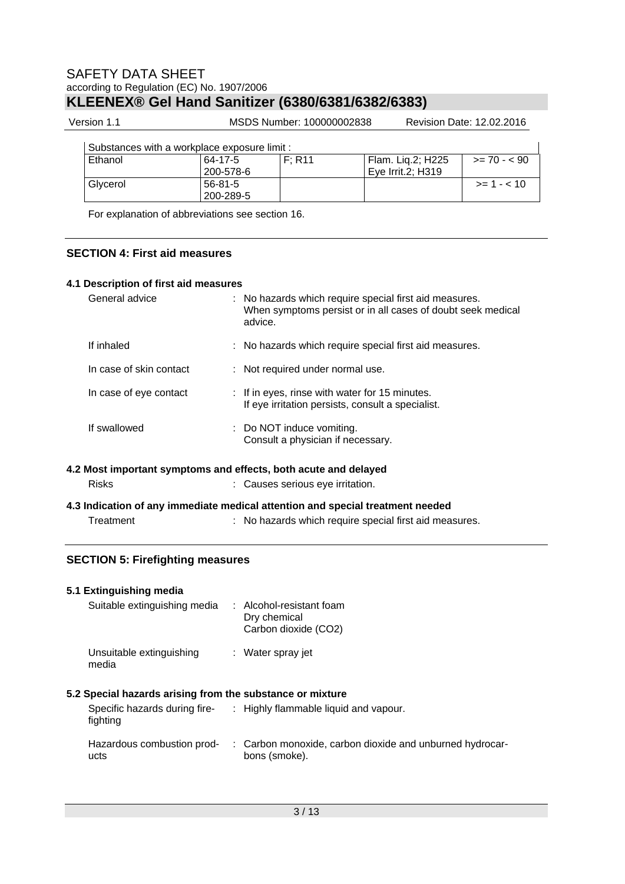Version 1.1 MSDS Number: 100000002838 Revision Date: 12.02.2016

| Substances with a workplace exposure limit : |  |  |
|----------------------------------------------|--|--|
|                                              |  |  |

| Substances with a workplace exposure limit : |                      |        |                                          |               |
|----------------------------------------------|----------------------|--------|------------------------------------------|---------------|
| Ethanol                                      | 64-17-5<br>200-578-6 | F: R11 | Flam. Lig.2; H225<br>l Eve Irrit.2: H319 | $>= 70 - 90$  |
| Glycerol                                     | 56-81-5<br>200-289-5 |        |                                          | $>= 1 - < 10$ |

For explanation of abbreviations see section 16.

## **SECTION 4: First aid measures**

## **4.1 Description of first aid measures**

| General advice          | : No hazards which require special first aid measures.<br>When symptoms persist or in all cases of doubt seek medical<br>advice. |
|-------------------------|----------------------------------------------------------------------------------------------------------------------------------|
| If inhaled              | : No hazards which require special first aid measures.                                                                           |
| In case of skin contact | : Not required under normal use.                                                                                                 |
| In case of eye contact  | : If in eyes, rinse with water for 15 minutes.<br>If eye irritation persists, consult a specialist.                              |
| If swallowed            | : Do NOT induce vomiting.<br>Consult a physician if necessary.                                                                   |
|                         | 4.2 Most important symptoms and effects, both acute and delayed                                                                  |
| <b>Risks</b>            | : Causes serious eye irritation.                                                                                                 |
|                         | 4.3 Indication of any immediate medical attention and special treatment needed                                                   |
| Treatment               | : No hazards which require special first aid measures.                                                                           |

## **SECTION 5: Firefighting measures**

| 5.1 Extinguishing media<br>Suitable extinguishing media               | : Alcohol-resistant foam<br>Dry chemical<br>Carbon dioxide (CO2)          |
|-----------------------------------------------------------------------|---------------------------------------------------------------------------|
| Unsuitable extinguishing<br>media                                     | : Water spray jet                                                         |
| 5.2 Special hazards arising from the substance or mixture<br>fighting | Specific hazards during fire- : Highly flammable liquid and vapour.       |
| Hazardous combustion prod-<br>ucts                                    | : Carbon monoxide, carbon dioxide and unburned hydrocar-<br>bons (smoke). |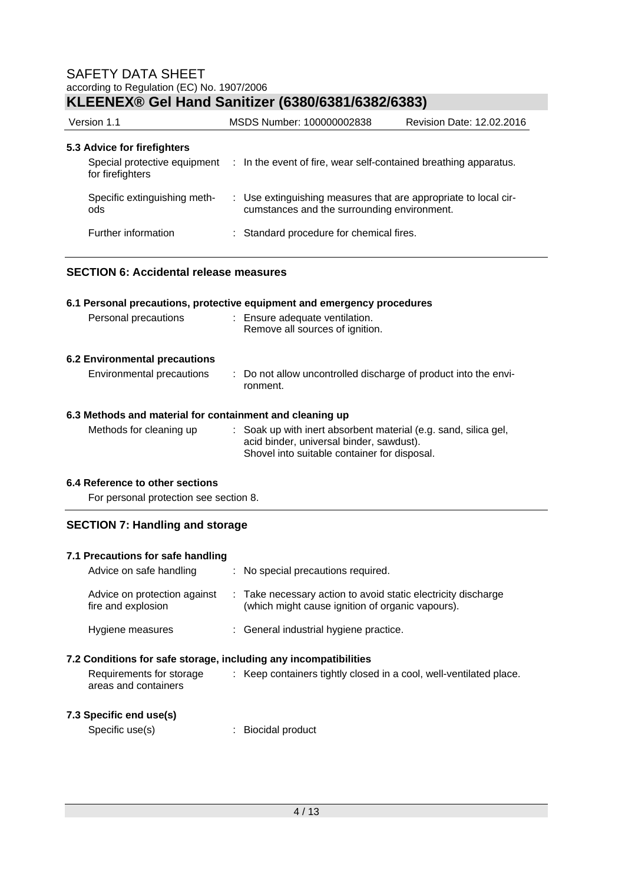## SAFETY DATA SHEET according to Regulation (EC) No. 1907/2006

## **KLEENEX® Gel Hand Sanitizer (6380/6381/6382/6383)**

| Version 1.1                                                                     | MSDS Number: 100000002838                                                                                      | Revision Date: 12.02.2016 |  |
|---------------------------------------------------------------------------------|----------------------------------------------------------------------------------------------------------------|---------------------------|--|
| 5.3 Advice for firefighters<br>Special protective equipment<br>for firefighters | : In the event of fire, wear self-contained breathing apparatus.                                               |                           |  |
| Specific extinguishing meth-<br>ods                                             | : Use extinguishing measures that are appropriate to local cir-<br>cumstances and the surrounding environment. |                           |  |
| Further information                                                             | : Standard procedure for chemical fires.                                                                       |                           |  |

## **SECTION 6: Accidental release measures**

# **6.1 Personal precautions, protective equipment and emergency procedures**

| Personal precautions | : Ensure adequate ventilation.  |
|----------------------|---------------------------------|
|                      | Remove all sources of ignition. |
|                      |                                 |

## **6.2 Environmental precautions**

## Environmental precautions : Do not allow uncontrolled discharge of product into the environment.

## **6.3 Methods and material for containment and cleaning up**

| Methods for cleaning up | : Soak up with inert absorbent material (e.g. sand, silica gel, |
|-------------------------|-----------------------------------------------------------------|
|                         | acid binder, universal binder, sawdust).                        |
|                         | Shovel into suitable container for disposal.                    |

## **6.4 Reference to other sections**

For personal protection see section 8.

## **SECTION 7: Handling and storage**

| 7.1 Precautions for safe handling<br>Advice on safe handling                                                         | : No special precautions required.                                                                                |
|----------------------------------------------------------------------------------------------------------------------|-------------------------------------------------------------------------------------------------------------------|
| Advice on protection against<br>fire and explosion                                                                   | : Take necessary action to avoid static electricity discharge<br>(which might cause ignition of organic vapours). |
| Hygiene measures                                                                                                     | : General industrial hygiene practice.                                                                            |
| 7.2 Conditions for safe storage, including any incompatibilities<br>Requirements for storage<br>areas and containers | : Keep containers tightly closed in a cool, well-ventilated place.                                                |
| 7.3 Specific end use(s)<br>Specific use(s)                                                                           | Biocidal product                                                                                                  |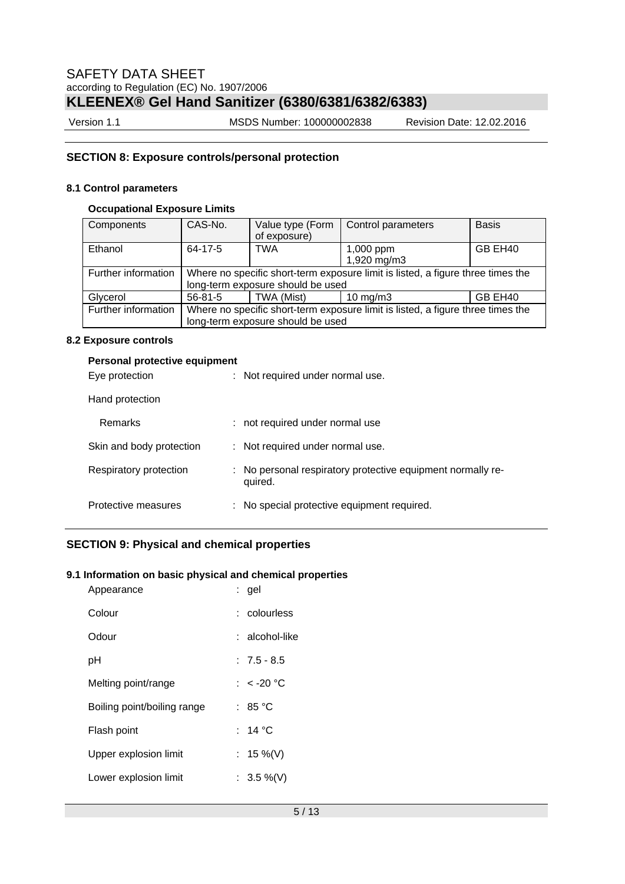Version 1.1 MSDS Number: 100000002838 Revision Date: 12.02.2016

## **SECTION 8: Exposure controls/personal protection**

## **8.1 Control parameters**

## **Occupational Exposure Limits**

| Components          | CAS-No.                                                                         | Value type (Form<br>of exposure) | Control parameters       | <b>Basis</b> |  |
|---------------------|---------------------------------------------------------------------------------|----------------------------------|--------------------------|--------------|--|
| Ethanol             | 64-17-5                                                                         | <b>TWA</b>                       | 1,000 ppm<br>1,920 mg/m3 | GB EH40      |  |
|                     |                                                                                 |                                  |                          |              |  |
| Further information | Where no specific short-term exposure limit is listed, a figure three times the |                                  |                          |              |  |
|                     | long-term exposure should be used                                               |                                  |                          |              |  |
| Glycerol            | $56 - 81 - 5$                                                                   | TWA (Mist)                       | $10 \text{ mg/m}$        | GB EH40      |  |
| Further information | Where no specific short-term exposure limit is listed, a figure three times the |                                  |                          |              |  |
|                     | long-term exposure should be used                                               |                                  |                          |              |  |

## **8.2 Exposure controls**

| Personal protective equipment<br>Eye protection | : Not required under normal use.                                       |
|-------------------------------------------------|------------------------------------------------------------------------|
| Hand protection                                 |                                                                        |
| Remarks                                         | : not required under normal use                                        |
| Skin and body protection                        | : Not required under normal use.                                       |
| Respiratory protection                          | : No personal respiratory protective equipment normally re-<br>quired. |
| Protective measures                             | : No special protective equipment required.                            |

## **SECTION 9: Physical and chemical properties**

### **9.1 Information on basic physical and chemical properties**

| Appearance                  | : gel          |
|-----------------------------|----------------|
| Colour                      | : colourless   |
| Odour                       | ∶ alcohol-like |
| рH                          | $: 7.5 - 8.5$  |
| Melting point/range         | : $<$ -20 °C   |
| Boiling point/boiling range | : 85 °C        |
| Flash point                 | : 14 °C        |
| Upper explosion limit       | : 15 %(V)      |
| Lower explosion limit       | : 3.5 %(V)     |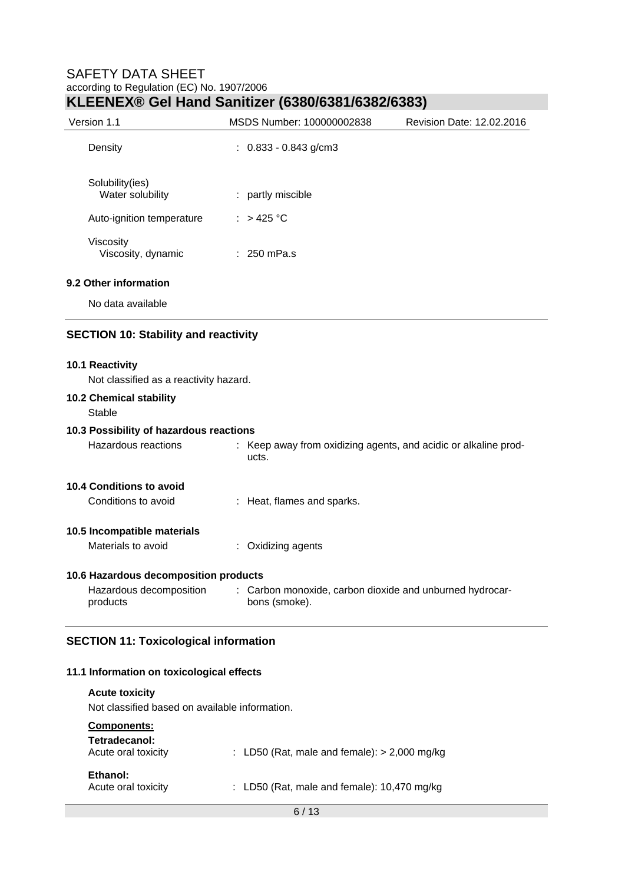| Version 1.1                                               | MSDS Number: 100000002838                                                 | Revision Date: 12.02.2016 |
|-----------------------------------------------------------|---------------------------------------------------------------------------|---------------------------|
| Density                                                   | $: 0.833 - 0.843$ g/cm3                                                   |                           |
| Solubility(ies)<br>Water solubility                       | : partly miscible                                                         |                           |
| Auto-ignition temperature                                 | : $>425^{\circ}$ C                                                        |                           |
| Viscosity<br>Viscosity, dynamic                           | $: 250$ mPa.s                                                             |                           |
| 9.2 Other information                                     |                                                                           |                           |
| No data available                                         |                                                                           |                           |
| <b>SECTION 10: Stability and reactivity</b>               |                                                                           |                           |
|                                                           |                                                                           |                           |
| 10.1 Reactivity<br>Not classified as a reactivity hazard. |                                                                           |                           |
| 10.2 Chemical stability<br><b>Stable</b>                  |                                                                           |                           |
| 10.3 Possibility of hazardous reactions                   |                                                                           |                           |
| Hazardous reactions                                       | : Keep away from oxidizing agents, and acidic or alkaline prod-<br>ucts.  |                           |
| 10.4 Conditions to avoid                                  |                                                                           |                           |
| Conditions to avoid                                       | : Heat, flames and sparks.                                                |                           |
| 10.5 Incompatible materials                               |                                                                           |                           |
| Materials to avoid                                        | Oxidizing agents                                                          |                           |
| 10.6 Hazardous decomposition products                     |                                                                           |                           |
| Hazardous decomposition<br>products                       | : Carbon monoxide, carbon dioxide and unburned hydrocar-<br>bons (smoke). |                           |

## **SECTION 11: Toxicological information**

## **11.1 Information on toxicological effects**

**Acute toxicity**  Not classified based on available information. **Components: Tetradecanol:**   $\therefore$  LD50 (Rat, male and female): > 2,000 mg/kg **Ethanol:**<br>**Acute oral toxicity** : LD50 (Rat, male and female): 10,470 mg/kg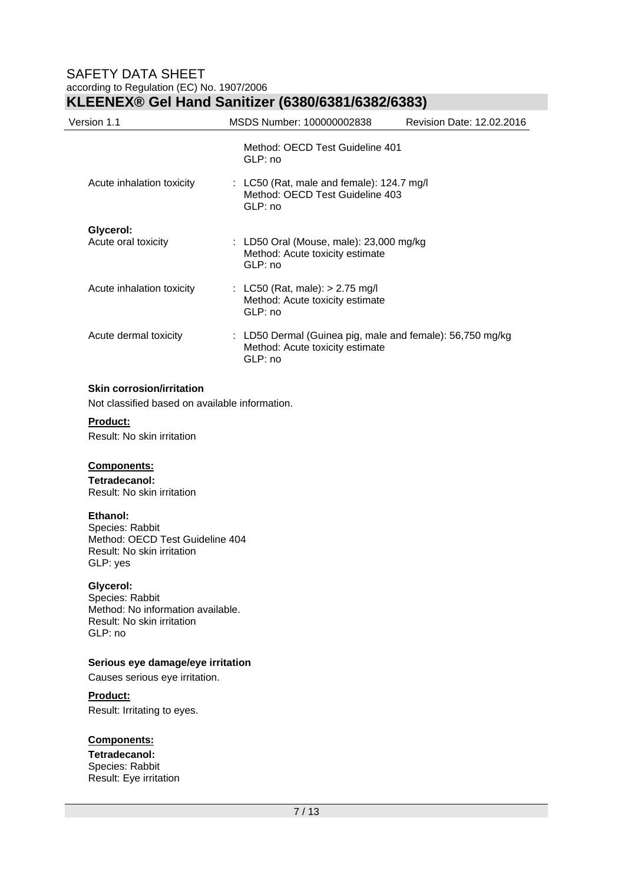| Version 1.1                      | MSDS Number: 100000002838                                                                                 | Revision Date: 12.02.2016 |
|----------------------------------|-----------------------------------------------------------------------------------------------------------|---------------------------|
|                                  | Method: OECD Test Guideline 401<br>GLP: no                                                                |                           |
| Acute inhalation toxicity        | : LC50 (Rat, male and female): 124.7 mg/l<br>Method: OECD Test Guideline 403<br>GLP: no                   |                           |
| Glycerol:<br>Acute oral toxicity | : LD50 Oral (Mouse, male): $23,000$ mg/kg<br>Method: Acute toxicity estimate<br>GLP: no                   |                           |
| Acute inhalation toxicity        | : LC50 (Rat, male): $> 2.75$ mg/l<br>Method: Acute toxicity estimate<br>GLP: no                           |                           |
| Acute dermal toxicity            | : LD50 Dermal (Guinea pig, male and female): $56,750$ mg/kg<br>Method: Acute toxicity estimate<br>GLP: no |                           |

## **Skin corrosion/irritation**

Not classified based on available information.

**Product:** 

Result: No skin irritation

#### **Components:**

**Tetradecanol:** 

Result: No skin irritation

#### **Ethanol:**

Species: Rabbit Method: OECD Test Guideline 404 Result: No skin irritation GLP: yes

#### **Glycerol:**

Species: Rabbit Method: No information available. Result: No skin irritation GLP: no

## **Serious eye damage/eye irritation**

Causes serious eye irritation.

## **Product:**

Result: Irritating to eyes.

## **Components:**

**Tetradecanol:**  Species: Rabbit Result: Eye irritation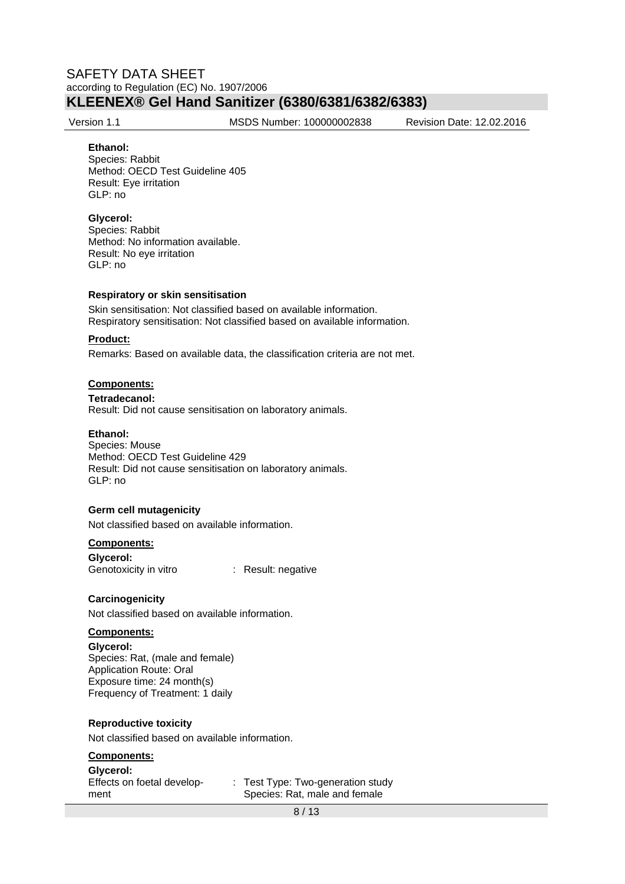Version 1.1 MSDS Number: 100000002838 Revision Date: 12.02.2016

#### **Ethanol:**

Species: Rabbit Method: OECD Test Guideline 405 Result: Eye irritation GLP: no

#### **Glycerol:**

Species: Rabbit Method: No information available. Result: No eye irritation GLP: no

#### **Respiratory or skin sensitisation**

Skin sensitisation: Not classified based on available information. Respiratory sensitisation: Not classified based on available information.

#### **Product:**

Remarks: Based on available data, the classification criteria are not met.

### **Components:**

**Tetradecanol:**  Result: Did not cause sensitisation on laboratory animals.

#### **Ethanol:**

Species: Mouse Method: OECD Test Guideline 429 Result: Did not cause sensitisation on laboratory animals. GLP: no

#### **Germ cell mutagenicity**

Not classified based on available information.

#### **Components:**

**Glycerol:**  Genotoxicity in vitro : Result: negative

#### **Carcinogenicity**

Not classified based on available information.

#### **Components:**

#### **Glycerol:**

Species: Rat, (male and female) Application Route: Oral Exposure time: 24 month(s) Frequency of Treatment: 1 daily

#### **Reproductive toxicity**

Not classified based on available information.

### **Components:**

**Glycerol:**  Effects on foetal development

: Test Type: Two-generation study Species: Rat, male and female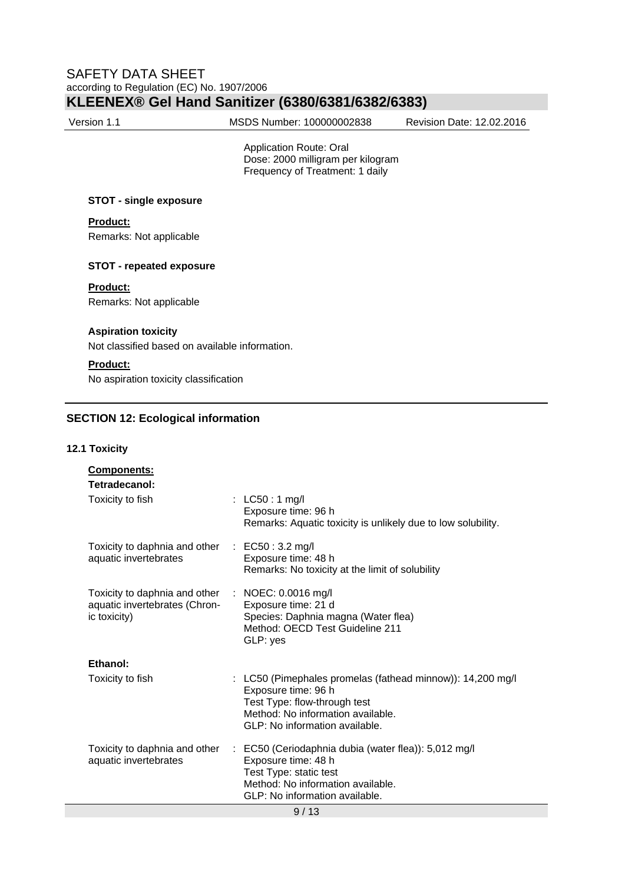Version 1.1 MSDS Number: 100000002838 Revision Date: 12.02.2016

 Application Route: Oral Dose: 2000 milligram per kilogram Frequency of Treatment: 1 daily

### **STOT - single exposure**

## **Product:**

Remarks: Not applicable

### **STOT - repeated exposure**

#### **Product:**

Remarks: Not applicable

### **Aspiration toxicity**

Not classified based on available information.

## **Product:**

No aspiration toxicity classification

## **SECTION 12: Ecological information**

### **12.1 Toxicity**

| <b>Components:</b><br>Tetradecanol:<br>Toxicity to fish                        | : $LC50:1$ mg/l<br>Exposure time: 96 h<br>Remarks: Aquatic toxicity is unlikely due to low solubility.                                                                                   |
|--------------------------------------------------------------------------------|------------------------------------------------------------------------------------------------------------------------------------------------------------------------------------------|
| Toxicity to daphnia and other<br>aquatic invertebrates                         | : $EC50:3.2 \text{ mg/l}$<br>Exposure time: 48 h<br>Remarks: No toxicity at the limit of solubility                                                                                      |
| Toxicity to daphnia and other<br>aquatic invertebrates (Chron-<br>ic toxicity) | $\therefore$ NOEC: 0.0016 mg/l<br>Exposure time: 21 d<br>Species: Daphnia magna (Water flea)<br>Method: OECD Test Guideline 211<br>GLP: yes                                              |
| Ethanol:                                                                       |                                                                                                                                                                                          |
| Toxicity to fish                                                               | : LC50 (Pimephales promelas (fathead minnow)): 14,200 mg/l<br>Exposure time: 96 h<br>Test Type: flow-through test<br>Method: No information available.<br>GLP: No information available. |
| Toxicity to daphnia and other<br>aquatic invertebrates                         | : EC50 (Ceriodaphnia dubia (water flea)): 5,012 mg/l<br>Exposure time: 48 h<br>Test Type: static test<br>Method: No information available.<br>GLP: No information available.             |
|                                                                                | 9/13                                                                                                                                                                                     |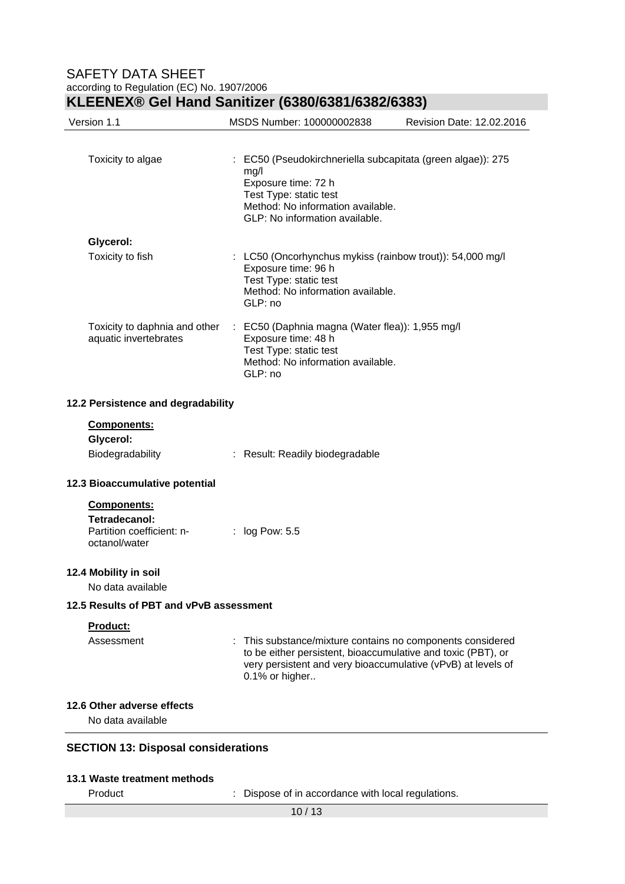## SAFETY DATA SHEET according to Regulation (EC) No. 1907/2006

| Version 1.1                                                                | MSDS Number: 100000002838                                                                                                                                                                                    | Revision Date: 12.02.2016 |
|----------------------------------------------------------------------------|--------------------------------------------------------------------------------------------------------------------------------------------------------------------------------------------------------------|---------------------------|
| Toxicity to algae                                                          | : EC50 (Pseudokirchneriella subcapitata (green algae)): 275<br>mg/l<br>Exposure time: 72 h<br>Test Type: static test<br>Method: No information available.<br>GLP: No information available.                  |                           |
| Glycerol:                                                                  |                                                                                                                                                                                                              |                           |
| Toxicity to fish                                                           | : LC50 (Oncorhynchus mykiss (rainbow trout)): 54,000 mg/l<br>Exposure time: 96 h<br>Test Type: static test<br>Method: No information available.<br>GLP: no                                                   |                           |
| Toxicity to daphnia and other<br>aquatic invertebrates                     | : EC50 (Daphnia magna (Water flea)): 1,955 mg/l<br>Exposure time: 48 h<br>Test Type: static test<br>Method: No information available.<br>GLP: no                                                             |                           |
| 12.2 Persistence and degradability                                         |                                                                                                                                                                                                              |                           |
| <b>Components:</b><br>Glycerol:                                            |                                                                                                                                                                                                              |                           |
| Biodegradability                                                           | : Result: Readily biodegradable                                                                                                                                                                              |                           |
| 12.3 Bioaccumulative potential                                             |                                                                                                                                                                                                              |                           |
| Components:<br>Tetradecanol:<br>Partition coefficient: n-<br>octanol/water | : $log Pow: 5.5$                                                                                                                                                                                             |                           |
| 12.4 Mobility in soil<br>No data available                                 |                                                                                                                                                                                                              |                           |
| 12.5 Results of PBT and vPvB assessment                                    |                                                                                                                                                                                                              |                           |
| <u>Product:</u><br>Assessment                                              | : This substance/mixture contains no components considered<br>to be either persistent, bioaccumulative and toxic (PBT), or<br>very persistent and very bioaccumulative (vPvB) at levels of<br>0.1% or higher |                           |
| 12.6 Other adverse effects<br>No data available                            |                                                                                                                                                                                                              |                           |

Product : Dispose of in accordance with local regulations.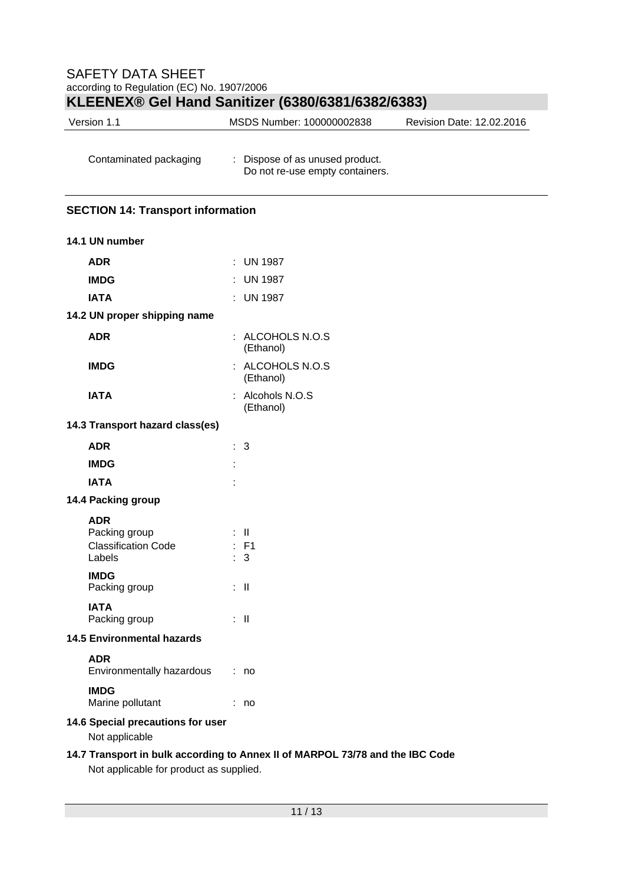| Version 1.1 | MSDS Number: 100000002838 | Revision Date: 12.02.2016 |
|-------------|---------------------------|---------------------------|
|             |                           |                           |

| Contaminated packaging | : Dispose of as unused product. |  |  |
|------------------------|---------------------------------|--|--|
|                        | Do not re-use empty containers. |  |  |

## **SECTION 14: Transport information**

| 14.1 UN number                                                      |                           |                               |
|---------------------------------------------------------------------|---------------------------|-------------------------------|
| <b>ADR</b>                                                          | ÷                         | <b>UN 1987</b>                |
| <b>IMDG</b>                                                         |                           | : UN 1987                     |
| <b>IATA</b>                                                         |                           | $:$ UN 1987                   |
| 14.2 UN proper shipping name                                        |                           |                               |
| <b>ADR</b>                                                          |                           | : ALCOHOLS N.O.S<br>(Ethanol) |
| <b>IMDG</b>                                                         |                           | : ALCOHOLS N.O.S<br>(Ethanol) |
| <b>IATA</b>                                                         |                           | : Alcohols N.O.S<br>(Ethanol) |
| 14.3 Transport hazard class(es)                                     |                           |                               |
| <b>ADR</b>                                                          | ÷.                        | 3                             |
| <b>IMDG</b>                                                         | ÷                         |                               |
| <b>IATA</b>                                                         |                           |                               |
| 14.4 Packing group                                                  |                           |                               |
| <b>ADR</b><br>Packing group<br><b>Classification Code</b><br>Labels | ÷<br>٠                    | Ш<br>F <sub>1</sub><br>3      |
| <b>IMDG</b><br>Packing group                                        |                           | : II                          |
| <b>IATA</b><br>Packing group                                        |                           | : II                          |
| <b>14.5 Environmental hazards</b>                                   |                           |                               |
| <b>ADR</b><br>Environmentally hazardous                             | $\mathbb{R}^{\mathbb{Z}}$ | no                            |
| <b>IMDG</b><br>Marine pollutant                                     |                           | no                            |
| 14.6 Special precautions for user<br>Not applicable                 |                           |                               |
|                                                                     |                           |                               |

## **14.7 Transport in bulk according to Annex II of MARPOL 73/78 and the IBC Code**

Not applicable for product as supplied.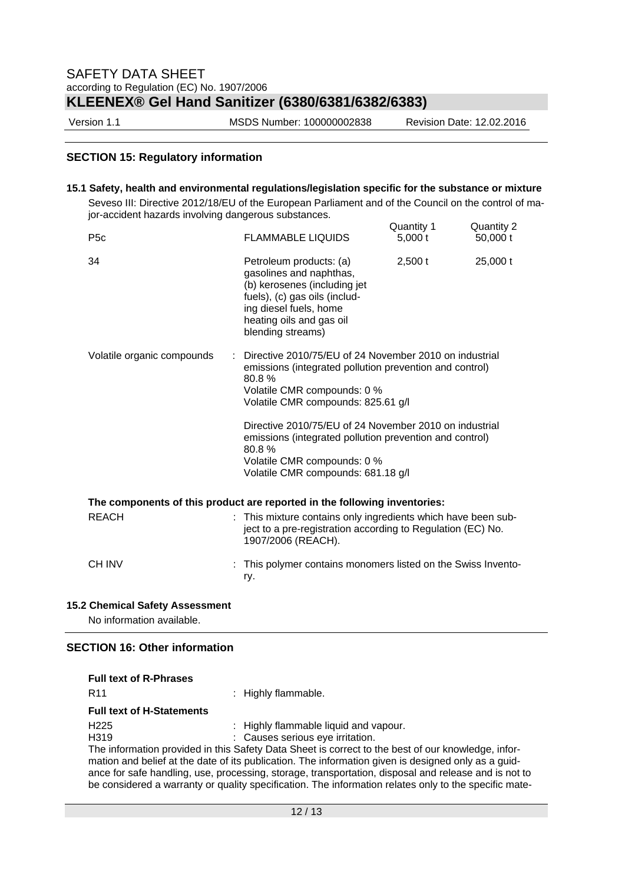Version 1.1 MSDS Number: 100000002838 Revision Date: 12.02.2016

### **SECTION 15: Regulatory information**

#### **15.1 Safety, health and environmental regulations/legislation specific for the substance or mixture**

Seveso III: Directive 2012/18/EU of the European Parliament and of the Council on the control of major-accident hazards involving dangerous substances.

|                                                                           |                                                                                                                                                                                                                                                                                                                                                              | Quantity 1 | Quantity 2 |  |  |
|---------------------------------------------------------------------------|--------------------------------------------------------------------------------------------------------------------------------------------------------------------------------------------------------------------------------------------------------------------------------------------------------------------------------------------------------------|------------|------------|--|--|
| P <sub>5</sub> c                                                          | <b>FLAMMABLE LIQUIDS</b>                                                                                                                                                                                                                                                                                                                                     | 5,000t     | 50,000 t   |  |  |
| 34                                                                        | Petroleum products: (a)<br>gasolines and naphthas,<br>(b) kerosenes (including jet<br>fuels), (c) gas oils (includ-<br>ing diesel fuels, home<br>heating oils and gas oil<br>blending streams)                                                                                                                                                               | 2,500t     | 25,000 t   |  |  |
| Volatile organic compounds                                                | Directive 2010/75/EU of 24 November 2010 on industrial<br>emissions (integrated pollution prevention and control)<br>80.8%<br>Volatile CMR compounds: 0 %<br>Volatile CMR compounds: 825.61 g/l<br>Directive 2010/75/EU of 24 November 2010 on industrial<br>emissions (integrated pollution prevention and control)<br>80.8%<br>Volatile CMR compounds: 0 % |            |            |  |  |
|                                                                           | Volatile CMR compounds: 681.18 g/l                                                                                                                                                                                                                                                                                                                           |            |            |  |  |
| The components of this product are reported in the following inventories: |                                                                                                                                                                                                                                                                                                                                                              |            |            |  |  |
| <b>REACH</b>                                                              | : This mixture contains only ingredients which have been sub-<br>ject to a pre-registration according to Regulation (EC) No.<br>1907/2006 (REACH).                                                                                                                                                                                                           |            |            |  |  |
| <b>CH INV</b>                                                             | This polymer contains monomers listed on the Swiss Invento-<br>ry.                                                                                                                                                                                                                                                                                           |            |            |  |  |

### **15.2 Chemical Safety Assessment**

No information available.

## **SECTION 16: Other information**

| <b>Full text of R-Phrases</b>    |                                                                                                       |
|----------------------------------|-------------------------------------------------------------------------------------------------------|
| R <sub>11</sub>                  | : Highly flammable.                                                                                   |
| <b>Full text of H-Statements</b> |                                                                                                       |
| H <sub>225</sub>                 | : Highly flammable liquid and vapour.                                                                 |
| H <sub>319</sub>                 | : Causes serious eye irritation.                                                                      |
|                                  | The information provided in this Safety Data Sheet is correct to the best of our knowledge, infor-    |
|                                  | mation and belief at the date of its publication. The information given is designed only as a guid-   |
|                                  | ance for safe handling, use, processing, storage, transportation, disposal and release and is not to  |
|                                  | be considered a warranty or quality specification. The information relates only to the specific mate- |